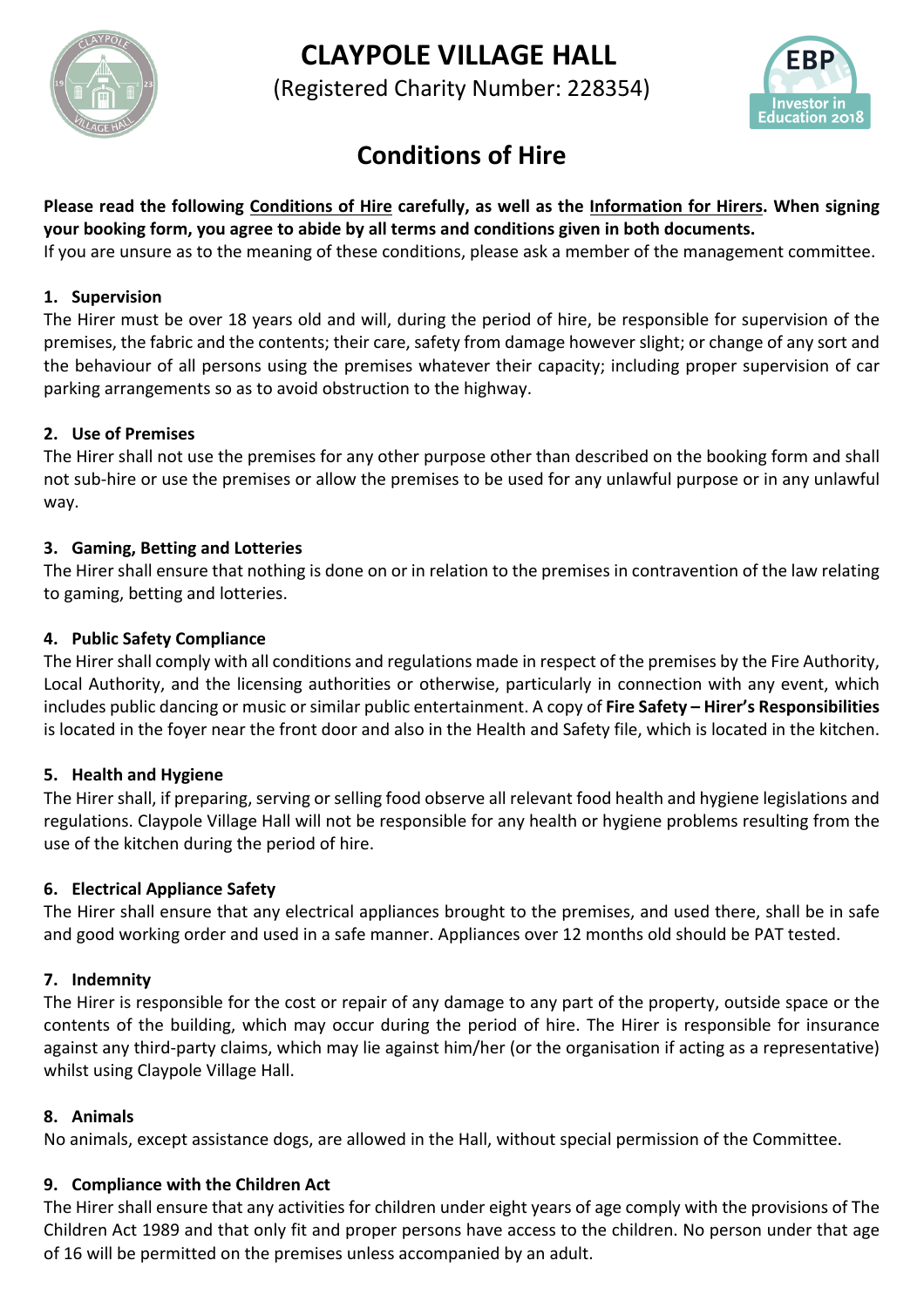



(Registered Charity Number: 228354)



# **Conditions of Hire**

**Please read the following Conditions of Hire carefully, as well as the Information for Hirers. When signing your booking form, you agree to abide by all terms and conditions given in both documents.**

If you are unsure as to the meaning of these conditions, please ask a member of the management committee.

# **1. Supervision**

The Hirer must be over 18 years old and will, during the period of hire, be responsible for supervision of the premises, the fabric and the contents; their care, safety from damage however slight; or change of any sort and the behaviour of all persons using the premises whatever their capacity; including proper supervision of car parking arrangements so as to avoid obstruction to the highway.

# **2. Use of Premises**

The Hirer shall not use the premises for any other purpose other than described on the booking form and shall not sub-hire or use the premises or allow the premises to be used for any unlawful purpose or in any unlawful way.

# **3. Gaming, Betting and Lotteries**

The Hirer shall ensure that nothing is done on or in relation to the premises in contravention of the law relating to gaming, betting and lotteries.

# **4. Public Safety Compliance**

The Hirer shall comply with all conditions and regulations made in respect of the premises by the Fire Authority, Local Authority, and the licensing authorities or otherwise, particularly in connection with any event, which includes public dancing or music or similar public entertainment. A copy of **Fire Safety – Hirer's Responsibilities** is located in the foyer near the front door and also in the Health and Safety file, which is located in the kitchen.

# **5. Health and Hygiene**

The Hirer shall, if preparing, serving or selling food observe all relevant food health and hygiene legislations and regulations. Claypole Village Hall will not be responsible for any health or hygiene problems resulting from the use of the kitchen during the period of hire.

# **6. Electrical Appliance Safety**

The Hirer shall ensure that any electrical appliances brought to the premises, and used there, shall be in safe and good working order and used in a safe manner. Appliances over 12 months old should be PAT tested.

# **7. Indemnity**

The Hirer is responsible for the cost or repair of any damage to any part of the property, outside space or the contents of the building, which may occur during the period of hire. The Hirer is responsible for insurance against any third-party claims, which may lie against him/her (or the organisation if acting as a representative) whilst using Claypole Village Hall.

# **8. Animals**

No animals, except assistance dogs, are allowed in the Hall, without special permission of the Committee.

# **9. Compliance with the Children Act**

The Hirer shall ensure that any activities for children under eight years of age comply with the provisions of The Children Act 1989 and that only fit and proper persons have access to the children. No person under that age of 16 will be permitted on the premises unless accompanied by an adult.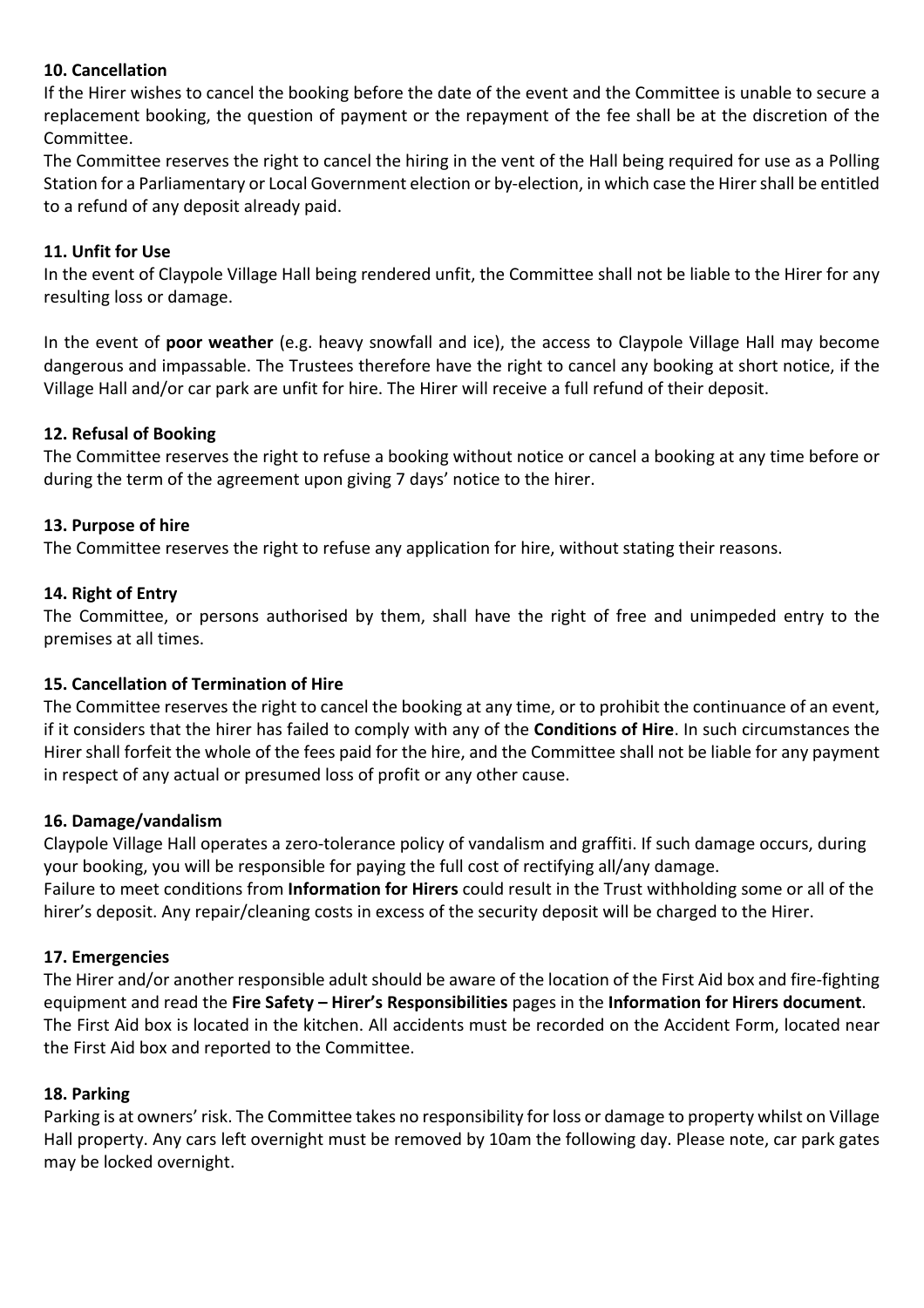## **10. Cancellation**

If the Hirer wishes to cancel the booking before the date of the event and the Committee is unable to secure a replacement booking, the question of payment or the repayment of the fee shall be at the discretion of the Committee.

The Committee reserves the right to cancel the hiring in the vent of the Hall being required for use as a Polling Station for a Parliamentary or Local Government election or by-election, in which case the Hirer shall be entitled to a refund of any deposit already paid.

## **11. Unfit for Use**

In the event of Claypole Village Hall being rendered unfit, the Committee shall not be liable to the Hirer for any resulting loss or damage.

In the event of **poor weather** (e.g. heavy snowfall and ice), the access to Claypole Village Hall may become dangerous and impassable. The Trustees therefore have the right to cancel any booking at short notice, if the Village Hall and/or car park are unfit for hire. The Hirer will receive a full refund of their deposit.

## **12. Refusal of Booking**

The Committee reserves the right to refuse a booking without notice or cancel a booking at any time before or during the term of the agreement upon giving 7 days' notice to the hirer.

#### **13. Purpose of hire**

The Committee reserves the right to refuse any application for hire, without stating their reasons.

## **14. Right of Entry**

The Committee, or persons authorised by them, shall have the right of free and unimpeded entry to the premises at all times.

#### **15. Cancellation of Termination of Hire**

The Committee reserves the right to cancel the booking at any time, or to prohibit the continuance of an event, if it considers that the hirer has failed to comply with any of the **Conditions of Hire**. In such circumstances the Hirer shall forfeit the whole of the fees paid for the hire, and the Committee shall not be liable for any payment in respect of any actual or presumed loss of profit or any other cause.

#### **16. Damage/vandalism**

Claypole Village Hall operates a zero-tolerance policy of vandalism and graffiti. If such damage occurs, during your booking, you will be responsible for paying the full cost of rectifying all/any damage. Failure to meet conditions from **Information for Hirers** could result in the Trust withholding some or all of the hirer's deposit. Any repair/cleaning costs in excess of the security deposit will be charged to the Hirer.

#### **17. Emergencies**

The Hirer and/or another responsible adult should be aware of the location of the First Aid box and fire-fighting equipment and read the **Fire Safety – Hirer's Responsibilities** pages in the **Information for Hirers document**. The First Aid box is located in the kitchen. All accidents must be recorded on the Accident Form, located near the First Aid box and reported to the Committee.

#### **18. Parking**

Parking is at owners' risk. The Committee takes no responsibility for loss or damage to property whilst on Village Hall property. Any cars left overnight must be removed by 10am the following day. Please note, car park gates may be locked overnight.